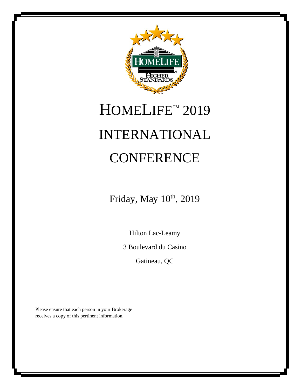

# HOMELIFE<sup>™</sup> 2019 INTERNATIONAL **CONFERENCE**

Friday, May  $10^{th}$ , 2019

Hilton Lac-Leamy

3 Boulevard du Casino

Gatineau, QC

Please ensure that each person in your Brokerage receives a copy of this pertinent information.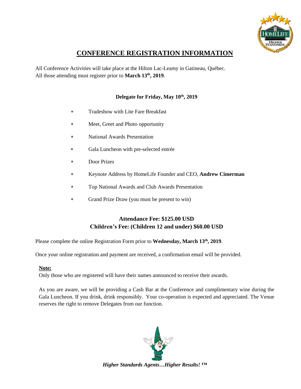

## **CONFERENCE REGISTRATION INFORMATION**

All Conference Activities will take place at the Hilton Lac-Leamy in Gatineau, Québec. All those attending must register prior to March 13<sup>th</sup>, 2019.

#### **Delegate for Friday, May 10 th, 2019**

- Tradeshow with Lite Fare Breakfast
- Meet, Greet and Photo opportunity
- National Awards Presentation
- Gala Luncheon with pre-selected entrée
- Door Prizes
- Keynote Address by HomeLife Founder and CEO, **Andrew Cimerman**
- Top National Awards and Club Awards Presentation
- Grand Prize Draw (you must be present to win)

### **Attendance Fee: \$125.00 USD Children's Fee: (Children 12 and under) \$60.00 USD**

Please complete the online Registration Form prior to Wednesday, March 13<sup>th</sup>, 2019.

Once your online registration and payment are received, a confirmation email will be provided.

#### **Note:**

Only those who are registered will have their names announced to receive their awards.

As you are aware, we will be providing a Cash Bar at the Conference and complimentary wine during the Gala Luncheon. If you drink, drink responsibly. Your co-operation is expected and appreciated. The Venue reserves the right to remove Delegates from our function.

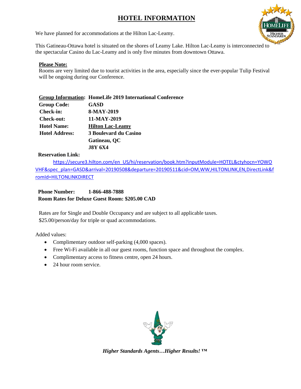## **HOTEL INFORMATION**



We have planned for accommodations at the Hilton Lac-Leamy.

This Gatineau-Ottawa hotel is situated on the shores of Leamy Lake. Hilton Lac-Leamy is interconnected to the spectacular Casino du Lac-Leamy and is only five minutes from downtown Ottawa.

#### **Please Note:**

Rooms are very limited due to tourist activities in the area, especially since the ever-popular Tulip Festival will be ongoing during our Conference.

|                       | <b>Group Information: HomeLife 2019 International Conference</b> |
|-----------------------|------------------------------------------------------------------|
| <b>Group Code:</b>    | GASD                                                             |
| Check-in:             | 8-MAY-2019                                                       |
| Check-out:            | 11-MAY-2019                                                      |
| <b>Hotel Name:</b>    | <b>Hilton Lac-Leamy</b>                                          |
| <b>Hotel Address:</b> | 3 Boulevard du Casino                                            |
|                       | Gatineau, QC                                                     |
|                       | <b>J8Y 6X4</b>                                                   |

#### **Reservation Link:**

[https://secure3.hilton.com/en\\_US/hi/reservation/book.htm?inputModule=HOTEL&ctyhocn=YOWO](https://secure3.hilton.com/en_US/hi/reservation/book.htm?inputModule=HOTEL&ctyhocn=YOWOVHF&spec_plan=GASD&arrival=20190508&departure=20190511&cid=OM,WW,HILTONLINK,EN,DirectLink&fromId=HILTONLINKDIRECT) [VHF&spec\\_plan=GASD&arrival=20190508&departure=20190511&cid=OM,WW,HILTONLINK,EN,DirectLink&f](https://secure3.hilton.com/en_US/hi/reservation/book.htm?inputModule=HOTEL&ctyhocn=YOWOVHF&spec_plan=GASD&arrival=20190508&departure=20190511&cid=OM,WW,HILTONLINK,EN,DirectLink&fromId=HILTONLINKDIRECT) [romId=HILTONLINKDIRECT](https://secure3.hilton.com/en_US/hi/reservation/book.htm?inputModule=HOTEL&ctyhocn=YOWOVHF&spec_plan=GASD&arrival=20190508&departure=20190511&cid=OM,WW,HILTONLINK,EN,DirectLink&fromId=HILTONLINKDIRECT)

#### **Phone Number: 1-866-488-7888 Room Rates for Deluxe Guest Room: \$205.00 CAD**

Rates are for Single and Double Occupancy and are subject to all applicable taxes. \$25.00/person/day for triple or quad accommodations.

Added values:

- Complimentary outdoor self-parking  $(4,000 \text{ spaces})$ .
- Free Wi-Fi available in all our guest rooms, function space and throughout the complex.
- Complimentary access to fitness centre, open 24 hours.
- 24 hour room service.

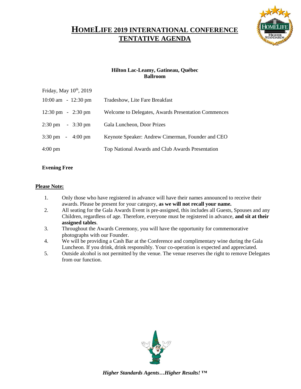## **HOMELIFE 2019 INTERNATIONAL CONFERENCE TENTATIVE AGENDA**



#### **Hilton Lac-Leamy, Gatineau, Québec Ballroom**

| Friday, May 10th, 2019                          |                                                     |
|-------------------------------------------------|-----------------------------------------------------|
| $10:00$ am $-12:30$ pm                          | Tradeshow, Lite Fare Breakfast                      |
| $12:30 \text{ pm} - 2:30 \text{ pm}$            | Welcome to Delegates, Awards Presentation Commences |
| $2:30 \text{ pm} \quad - \quad 3:30 \text{ pm}$ | Gala Luncheon, Door Prizes                          |
| $3:30 \text{ pm} - 4:00 \text{ pm}$             | Keynote Speaker: Andrew Cimerman, Founder and CEO   |
| $4:00 \text{ pm}$                               | Top National Awards and Club Awards Presentation    |

#### **Evening Free**

#### **Please Note:**

- 1. Only those who have registered in advance will have their names announced to receive their awards. Please be present for your category, **as we will not recall your name.**
- 2. All seating for the Gala Awards Event is pre-assigned, this includes all Guests, Spouses and any Children, regardless of age. Therefore, everyone must be registered in advance, **and sit at their assigned tables**.
- 3. Throughout the Awards Ceremony, you will have the opportunity for commemorative photographs with our Founder.
- 4. We will be providing a Cash Bar at the Conference and complimentary wine during the Gala Luncheon. If you drink, drink responsibly. Your co-operation is expected and appreciated.
- 5. Outside alcohol is not permitted by the venue. The venue reserves the right to remove Delegates from our function.

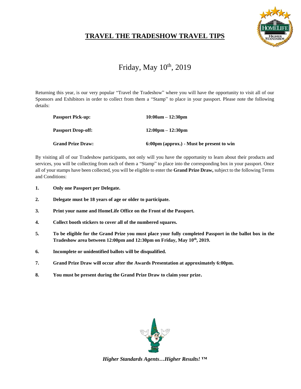

## **TRAVEL THE TRADESHOW TRAVEL TIPS**

## Friday, May 10<sup>th</sup>, 2019

Returning this year, is our very popular "Travel the Tradeshow" where you will have the opportunity to visit all of our Sponsors and Exhibitors in order to collect from them a "Stamp" to place in your passport. Please note the following details:

| <b>Passport Pick-up:</b>  | $10:00am - 12:30pm$                       |
|---------------------------|-------------------------------------------|
| <b>Passport Drop-off:</b> | $12:00 \text{pm} - 12:30 \text{pm}$       |
| <b>Grand Prize Draw:</b>  | 6:00pm (approx.) - Must be present to win |

By visiting all of our Tradeshow participants, not only will you have the opportunity to learn about their products and services, you will be collecting from each of them a "Stamp" to place into the corresponding box in your passport. Once all of your stamps have been collected, you will be eligible to enter the **Grand Prize Draw,** subject to the following Terms and Conditions:

- **1. Only one Passport per Delegate.**
- **2. Delegate must be 18 years of age or older to participate.**
- **3. Print your name and HomeLife Office on the Front of the Passport.**
- **4. Collect booth stickers to cover all of the numbered squares.**
- **5. To be eligible for the Grand Prize you must place your fully completed Passport in the ballot box in the Tradeshow area between 12:00pm and 12:30pm on Friday, May 10th, 2019.**
- **6. Incomplete or unidentified ballots will be disqualified.**
- **7. Grand Prize Draw will occur after the Awards Presentation at approximately 6:00pm.**
- **8. You must be present during the Grand Prize Draw to claim your prize.**

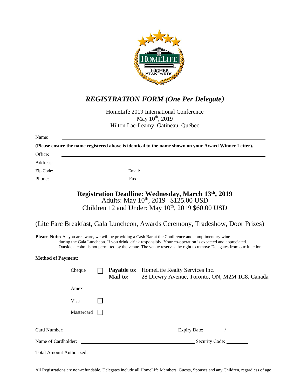

## *REGISTRATION FORM (One Per Delegate)*

HomeLife 2019 International Conference May 10<sup>th</sup>, 2019 Hilton Lac-Leamy, Gatineau, Québec

| Name:                           |                                                    |                                                                                                                                                                                                                                                                                                                                  |                                                                                                                                                                                                                                                                                                                                                   |
|---------------------------------|----------------------------------------------------|----------------------------------------------------------------------------------------------------------------------------------------------------------------------------------------------------------------------------------------------------------------------------------------------------------------------------------|---------------------------------------------------------------------------------------------------------------------------------------------------------------------------------------------------------------------------------------------------------------------------------------------------------------------------------------------------|
|                                 |                                                    |                                                                                                                                                                                                                                                                                                                                  | (Please ensure the name registered above is identical to the name shown on your Award Winner Letter).                                                                                                                                                                                                                                             |
| Office:                         |                                                    |                                                                                                                                                                                                                                                                                                                                  |                                                                                                                                                                                                                                                                                                                                                   |
| Address:                        |                                                    |                                                                                                                                                                                                                                                                                                                                  |                                                                                                                                                                                                                                                                                                                                                   |
| Zip Code:                       | <u> 1990 - John Stein, Amerikaansk politiker (</u> |                                                                                                                                                                                                                                                                                                                                  |                                                                                                                                                                                                                                                                                                                                                   |
| Phone:                          |                                                    | $\Gamma$ and $\Gamma$ and $\Gamma$ and $\Gamma$ and $\Gamma$ and $\Gamma$ and $\Gamma$ and $\Gamma$ and $\Gamma$ and $\Gamma$ and $\Gamma$ and $\Gamma$ and $\Gamma$ and $\Gamma$ and $\Gamma$ and $\Gamma$ and $\Gamma$ and $\Gamma$ and $\Gamma$ and $\Gamma$ and $\Gamma$ and $\Gamma$ and $\Gamma$ and $\Gamma$ and $\Gamma$ |                                                                                                                                                                                                                                                                                                                                                   |
|                                 |                                                    |                                                                                                                                                                                                                                                                                                                                  | Registration Deadline: Wednesday, March 13th, 2019<br>Adults: May 10 <sup>th</sup> , 2019 \$125.00 USD<br>Children 12 and Under: May 10 <sup>th</sup> , 2019 \$60.00 USD                                                                                                                                                                          |
|                                 |                                                    |                                                                                                                                                                                                                                                                                                                                  | (Lite Fare Breakfast, Gala Luncheon, Awards Ceremony, Tradeshow, Door Prizes)                                                                                                                                                                                                                                                                     |
|                                 |                                                    |                                                                                                                                                                                                                                                                                                                                  | <b>Please Note:</b> As you are aware, we will be providing a Cash Bar at the Conference and complimentary wine<br>during the Gala Luncheon. If you drink, drink responsibly. Your co-operation is expected and appreciated.<br>Outside alcohol is not permitted by the venue. The venue reserves the right to remove Delegates from our function. |
| <b>Method of Payment:</b>       |                                                    |                                                                                                                                                                                                                                                                                                                                  |                                                                                                                                                                                                                                                                                                                                                   |
|                                 | Cheque                                             | <b>Mail to:</b>                                                                                                                                                                                                                                                                                                                  | <b>Payable to:</b> HomeLife Realty Services Inc.<br>28 Drewry Avenue, Toronto, ON, M2M 1C8, Canada                                                                                                                                                                                                                                                |
|                                 | Amex                                               |                                                                                                                                                                                                                                                                                                                                  |                                                                                                                                                                                                                                                                                                                                                   |
|                                 | Visa                                               |                                                                                                                                                                                                                                                                                                                                  |                                                                                                                                                                                                                                                                                                                                                   |
|                                 | Mastercard                                         |                                                                                                                                                                                                                                                                                                                                  |                                                                                                                                                                                                                                                                                                                                                   |
| Card Number:                    |                                                    |                                                                                                                                                                                                                                                                                                                                  | Expiry Date: 1                                                                                                                                                                                                                                                                                                                                    |
|                                 |                                                    |                                                                                                                                                                                                                                                                                                                                  |                                                                                                                                                                                                                                                                                                                                                   |
| <b>Total Amount Authorized:</b> |                                                    |                                                                                                                                                                                                                                                                                                                                  |                                                                                                                                                                                                                                                                                                                                                   |

All Registrations are non-refundable. Delegates include all HomeLife Members, Guests, Spouses and any Children, regardless of age